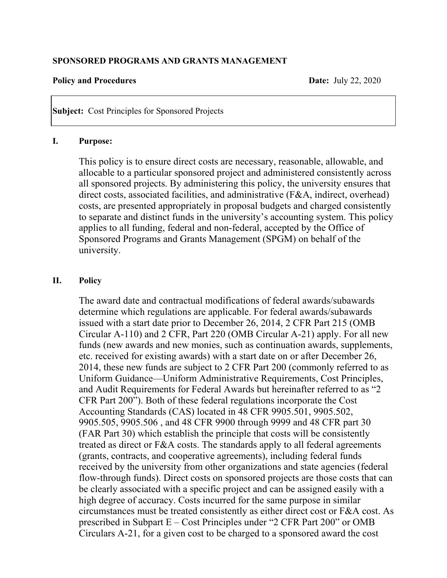#### **SPONSORED PROGRAMS AND GRANTS MANAGEMENT**

#### **Policy and Procedures Date:** July 22, 2020

**Subject:** Cost Principles for Sponsored Projects

#### **I. Purpose:**

This policy is to ensure direct costs are necessary, reasonable, allowable, and allocable to a particular sponsored project and administered consistently across all sponsored projects. By administering this policy, the university ensures that direct costs, associated facilities, and administrative (F&A, indirect, overhead) costs, are presented appropriately in proposal budgets and charged consistently to separate and distinct funds in the university's accounting system. This policy applies to all funding, federal and non-federal, accepted by the Office of Sponsored Programs and Grants Management (SPGM) on behalf of the university.

## **II. Policy**

The award date and contractual modifications of federal awards/subawards determine which regulations are applicable. For federal awards/subawards issued with a start date prior to December 26, 2014, 2 CFR Part 215 (OMB Circular A-110) and 2 CFR, Part 220 (OMB Circular A-21) apply. For all new funds (new awards and new monies, such as continuation awards, supplements, etc. received for existing awards) with a start date on or after December 26, 2014, these new funds are subject to 2 CFR Part 200 (commonly referred to as Uniform Guidance—Uniform Administrative Requirements, Cost Principles, and Audit Requirements for Federal Awards but hereinafter referred to as "2 CFR Part 200"). Both of these federal regulations incorporate the Cost Accounting Standards (CAS) located in 48 CFR 9905.501, 9905.502, 9905.505, 9905.506 , and 48 CFR 9900 through 9999 and 48 CFR part 30 (FAR Part 30) which establish the principle that costs will be consistently treated as direct or F&A costs. The standards apply to all federal agreements (grants, contracts, and cooperative agreements), including federal funds received by the university from other organizations and state agencies (federal flow-through funds). Direct costs on sponsored projects are those costs that can be clearly associated with a specific project and can be assigned easily with a high degree of accuracy. Costs incurred for the same purpose in similar circumstances must be treated consistently as either direct cost or F&A cost. As prescribed in Subpart E – Cost Principles under "2 CFR Part 200" or OMB Circulars A-21, for a given cost to be charged to a sponsored award the cost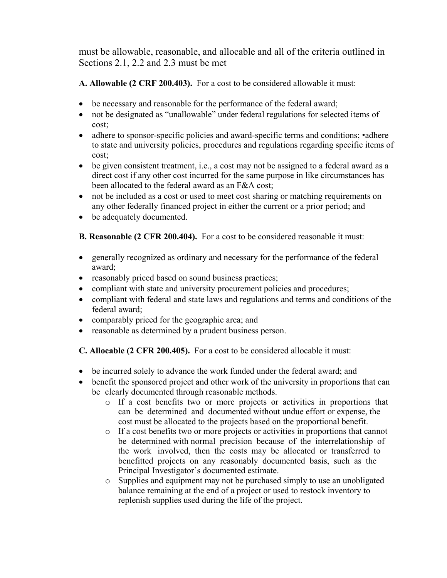must be allowable, reasonable, and allocable and all of the criteria outlined in Sections 2.1, 2.2 and 2.3 must be met

**A. Allowable (2 CRF 200.403).** For a cost to be considered allowable it must:

- be necessary and reasonable for the performance of the federal award;
- not be designated as "unallowable" under federal regulations for selected items of cost;
- adhere to sponsor-specific policies and award-specific terms and conditions; •adhere to state and university policies, procedures and regulations regarding specific items of cost;
- be given consistent treatment, i.e., a cost may not be assigned to a federal award as a direct cost if any other cost incurred for the same purpose in like circumstances has been allocated to the federal award as an F&A cost;
- not be included as a cost or used to meet cost sharing or matching requirements on any other federally financed project in either the current or a prior period; and
- be adequately documented.

**B. Reasonable (2 CFR 200.404).** For a cost to be considered reasonable it must:

- generally recognized as ordinary and necessary for the performance of the federal award;
- reasonably priced based on sound business practices;
- compliant with state and university procurement policies and procedures;
- compliant with federal and state laws and regulations and terms and conditions of the federal award;
- comparably priced for the geographic area; and
- reasonable as determined by a prudent business person.

**C. Allocable (2 CFR 200.405).** For a cost to be considered allocable it must:

- be incurred solely to advance the work funded under the federal award; and
- benefit the sponsored project and other work of the university in proportions that can be clearly documented through reasonable methods.
	- o If a cost benefits two or more projects or activities in proportions that can be determined and documented without undue effort or expense, the cost must be allocated to the projects based on the proportional benefit.
	- o If a cost benefits two or more projects or activities in proportions that cannot be determined with normal precision because of the interrelationship of the work involved, then the costs may be allocated or transferred to benefitted projects on any reasonably documented basis, such as the Principal Investigator's documented estimate.
	- o Supplies and equipment may not be purchased simply to use an unobligated balance remaining at the end of a project or used to restock inventory to replenish supplies used during the life of the project.